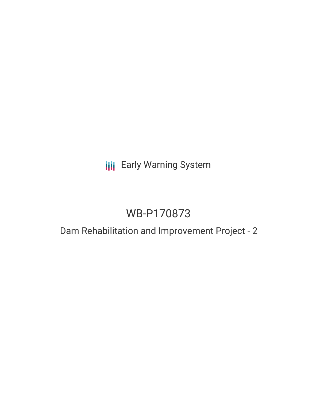# **III** Early Warning System

# WB-P170873

## Dam Rehabilitation and Improvement Project - 2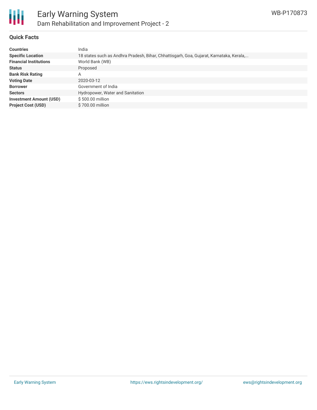

#### **Quick Facts**

| <b>Countries</b>               | India                                                                                   |
|--------------------------------|-----------------------------------------------------------------------------------------|
| <b>Specific Location</b>       | 18 states such as Andhra Pradesh, Bihar, Chhattisgarh, Goa, Gujarat, Karnataka, Kerala, |
| <b>Financial Institutions</b>  | World Bank (WB)                                                                         |
| <b>Status</b>                  | Proposed                                                                                |
| <b>Bank Risk Rating</b>        | A                                                                                       |
| <b>Voting Date</b>             | 2020-03-12                                                                              |
| <b>Borrower</b>                | Government of India                                                                     |
| <b>Sectors</b>                 | Hydropower, Water and Sanitation                                                        |
| <b>Investment Amount (USD)</b> | \$500.00 million                                                                        |
| <b>Project Cost (USD)</b>      | \$700.00 million                                                                        |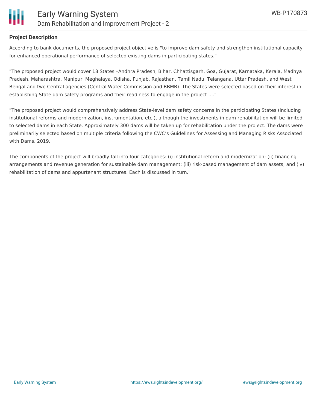

#### **Project Description**

According to bank documents, the proposed project objective is "to improve dam safety and strengthen institutional capacity for enhanced operational performance of selected existing dams in participating states."

"The proposed project would cover 18 States –Andhra Pradesh, Bihar, Chhattisgarh, Goa, Gujarat, Karnataka, Kerala, Madhya Pradesh, Maharashtra, Manipur, Meghalaya, Odisha, Punjab, Rajasthan, Tamil Nadu, Telangana, Uttar Pradesh, and West Bengal and two Central agencies (Central Water Commission and BBMB). The States were selected based on their interest in establishing State dam safety programs and their readiness to engage in the project ...."

"The proposed project would comprehensively address State-level dam safety concerns in the participating States (including institutional reforms and modernization, instrumentation, etc.), although the investments in dam rehabilitation will be limited to selected dams in each State. Approximately 300 dams will be taken up for rehabilitation under the project. The dams were preliminarily selected based on multiple criteria following the CWC's Guidelines for Assessing and Managing Risks Associated with Dams, 2019.

The components of the project will broadly fall into four categories: (i) institutional reform and modernization; (ii) financing arrangements and revenue generation for sustainable dam management; (iii) risk-based management of dam assets; and (iv) rehabilitation of dams and appurtenant structures. Each is discussed in turn."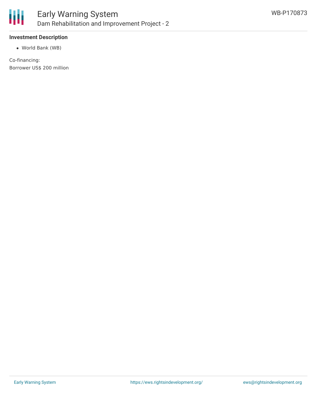

#### **Investment Description**

World Bank (WB)

Co-financing: Borrower US\$ 200 million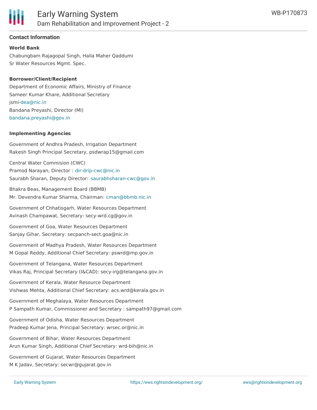

#### **Contact Information**

#### **World Bank**

Chabungbam Rajagopal Singh, Halla Maher Qaddumi Sr Water Resources Mgmt. Spec.

#### **Borrower/Client/Recipient**

Department of Economic Affairs, Ministry of Finance Sameer Kumar Khare, Additional Secretary jsmi[-dea@nic.in](mailto:dea@nic.in) Bandana Preyashi, Director (MI) [bandana.preyashi@gov.in](mailto:bandana.preyashi@gov.in)

#### **Implementing Agencies**

Government of Andhra Pradesh, Irrigation Department Rakesh Singh Principal Secretary, psdwrap15@gmail.com

Central Water Commision (CWC) Pramod Narayan, Director : [dir-drip-cwc@nic.in](mailto:dir-drip-cwc@nic.in) Saurabh Sharan, Deputy Director: [saurabhsharan-cwc@gov.in](mailto:saurabhsharan-cwc@gov.in)

Bhakra Beas, Management Board (BBMB) Mr. Devendra Kumar Sharma, Chairman: [cman@bbmb.nic.in](mailto:cman@bbmb.nic.in)

Government of Chhatisgarh, Water Resources Department Avinash Champawat, Secretary: secy-wrd.cg@gov.in

Government of Goa, Water Resources Department Sanjay Gihar, Secretary: secpanch-sect.goa@nic.in

Government of Madhya Pradesh, Water Resources Department M Gopal Reddy, Additional Chief Secretary: pswrd@mp.gov.in

Government of Telangana, Water Resources Department Vikas Raj, Principal Secretary (I&CAD): secy-irg@telangana.gov.in

Government of Kerala, Water Resource Department Vishwas Mehta, Additional Chief Secretary: acs.wrd@kerala.gov.in

Government of Meghalaya, Water Resources Department P Sampath Kumar, Commissioner and Secretary : sampath97@gmail.com

Government of Odisha, Water Resources Department Pradeep Kumar Jena, Principal Secretary: wrsec.or@nic.in

Government of Bihar, Water Resources Department Arun Kumar Singh, Additional Chief Secretary: wrd-bih@nic.in

Government of Maharashtra, Water Resources Department

Government of Gujarat, Water Resources Department M K Jadav, Secretary: secwr@gujarat.gov.in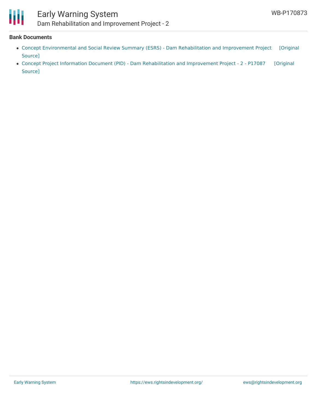

### Early Warning System Dam Rehabilitation and Improvement Project - 2

#### **Bank Documents**

- Concept [Environmental](https://ewsdata.rightsindevelopment.org/files/documents/73/WB-P170873_YKSyCsi.pdf) and Social Review Summary (ESRS) Dam Rehabilitation and Improvement Project [Original Source]
- Concept Project Information Document (PID) Dam [Rehabilitation](https://ewsdata.rightsindevelopment.org/files/documents/73/WB-P170873.pdf) and Improvement Project 2 P17087 [Original Source]